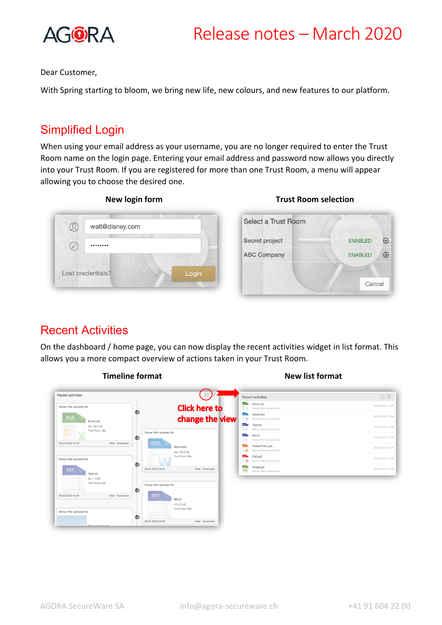

Dear Customer,

With Spring starting to bloom, we bring new life, new colours, and new features to our platform.

# Simplified Login

When using your email address as your username, you are no longer required to enter the Trust Room name on the login page. Entering your email address and password now allows you directly into your Trust Room. If you are registered for more than one Trust Room, a menu will appear allowing you to choose the desired one.



## Recent Activities

On the dashboard / home page, you can now display the recent activities widget in list format. This allows you a more compact overview of actions taken in your Trust Room.

| Recent activities                 | Recent activities                                                                                   | O7               |
|-----------------------------------|-----------------------------------------------------------------------------------------------------|------------------|
| Disney Walt uploaded file         | xis in<br>Excel.xls<br><b>Click here to</b><br>Disney Walt uploaded file                            | 28.02.2020 14:39 |
| <b>XLS</b><br>Excel.xls           | <b>DOG</b><br>Word.doc<br>change the view<br>W<br>Disney Walt uploaded file                         | 28.02.2020 14:39 |
| xls   35.5 kB<br>Trust Room Zip   | TRT<br>Text.txt<br>Disney Walt uploaded file<br>-<br>Disney Walt uploaded file                      | 28.02.2020 14:39 |
| E BR                              | <b>RTF</b><br>Rtf.rtf<br>Œ)<br>Disney Walt uploaded file                                            | 28.02.2020 14:39 |
| View Download<br>28.02.2020 14:39 | <b>DOC</b><br>PowerPoint.ppt<br>PPT<br>Word.doc<br>ø<br>Disney Walt uploaded file<br>doc   90.0 kB  | 28.02.2020 14:39 |
| Disney Walt uploaded file         | <b>POS</b><br>Pdf.pdf<br>Trust Room Zip<br>m<br>Disney Walt uploaded file                           | 28.02.2020 14:39 |
| <b>TXT</b><br>Text.txt            | ඬ<br>GF <sub>1</sub><br>Image.gif<br>28.02.2020 14:39<br>View Download<br>Disney Walt uploaded file | 28.02.2020 14:39 |
| txt   1.8 kB<br>Trust Room Zip    | Disney Walt uploaded file                                                                           |                  |
| 28.02.2020 14:39<br>View Download | ŒJ<br><b>RTF</b><br>Rtf.rtf<br>rtf   2.0 kB<br>Trust Room Zip                                       |                  |
| Disney Walt uploaded file         | 63<br>View Download<br>28.02.2020 14:39                                                             |                  |

#### **Timeline format New list format**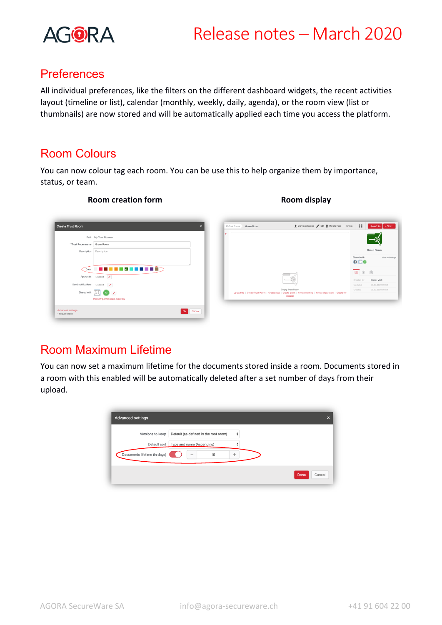

## **Preferences**

All individual preferences, like the filters on the different dashboard widgets, the recent activities layout (timeline or list), calendar (monthly, weekly, daily, agenda), or the room view (list or thumbnails) are now stored and will be automatically applied each time you access the platform.

### Room Colours

You can now colour tag each room. You can be use this to help organize them by importance, status, or team.

#### Crant guest access / Edit | Move to trash ... Actions | == .<br>Create Trust Room Path My Trust Rooms m name Green Room **Description** Description  $0100$ Color **2008 2008 2008 2009** Disabled  $\sqrt{\phantom{a}}$ fications Disabled / Shared with  $\boxed{1}$   $\boxed{2}$ Ok Cancel **Advanced sett**<br>\* Required field

### **Room creation form Room display**

# Room Maximum Lifetime

You can now set a maximum lifetime for the documents stored inside a room. Documents stored in a room with this enabled will be automatically deleted after a set number of days from their upload.

| <b>Advanced settings</b>     |                                            | $\boldsymbol{\mathsf{x}}$ |
|------------------------------|--------------------------------------------|---------------------------|
| Versions to keep             | Default (as defined in the root room)<br>÷ |                           |
| Default sort                 | Type and name (Ascending)                  |                           |
| Documents lifetime (in days) | 10<br>÷                                    |                           |
|                              |                                            | Done<br>Cancel            |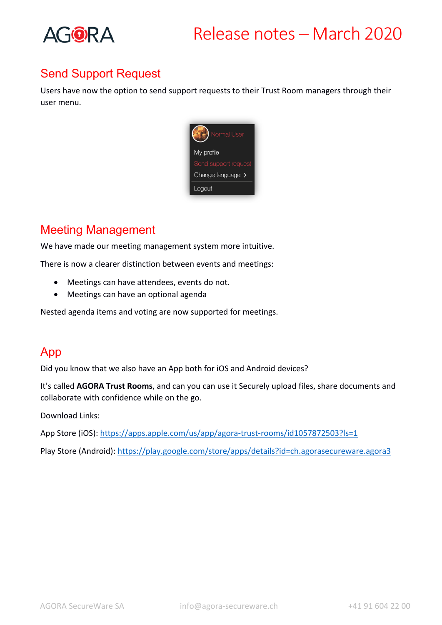

# Send Support Request

Users have now the option to send support requests to their Trust Room managers through their user menu.



# Meeting Management

We have made our meeting management system more intuitive.

There is now a clearer distinction between events and meetings:

- Meetings can have attendees, events do not.
- Meetings can have an optional agenda

Nested agenda items and voting are now supported for meetings.

## App

Did you know that we also have an App both for iOS and Android devices?

It's called **AGORA Trust Rooms**, and can you can use it Securely upload files, share documents and collaborate with confidence while on the go.

Download Links:

App Store (iOS): https://apps.apple.com/us/app/agora-trust-rooms/id1057872503?ls=1

Play Store (Android): https://play.google.com/store/apps/details?id=ch.agorasecureware.agora3